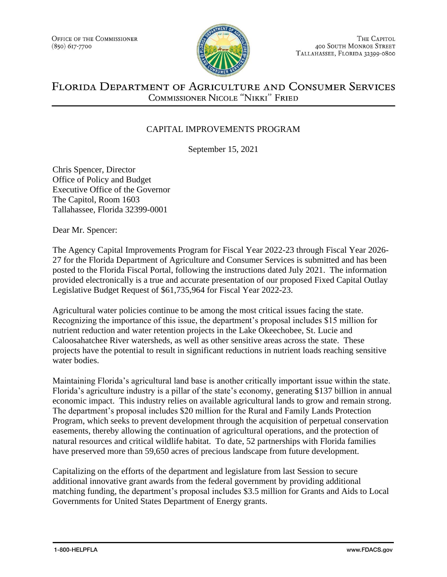

THE CAPITOL **400 SOUTH MONROE STREET** TALLAHASSEE, FLORIDA 32399-0800

## FLORIDA DEPARTMENT OF AGRICULTURE AND CONSUMER SERVICES COMMISSIONER NICOLE "NIKKI" FRIED

## CAPITAL IMPROVEMENTS PROGRAM

September 15, 2021

Chris Spencer, Director Office of Policy and Budget Executive Office of the Governor The Capitol, Room 1603 Tallahassee, Florida 32399-0001

Dear Mr. Spencer:

The Agency Capital Improvements Program for Fiscal Year 2022-23 through Fiscal Year 2026- 27 for the Florida Department of Agriculture and Consumer Services is submitted and has been posted to the Florida Fiscal Portal, following the instructions dated July 2021. The information provided electronically is a true and accurate presentation of our proposed Fixed Capital Outlay Legislative Budget Request of \$61,735,964 for Fiscal Year 2022-23.

Agricultural water policies continue to be among the most critical issues facing the state. Recognizing the importance of this issue, the department's proposal includes \$15 million for nutrient reduction and water retention projects in the Lake Okeechobee, St. Lucie and Caloosahatchee River watersheds, as well as other sensitive areas across the state. These projects have the potential to result in significant reductions in nutrient loads reaching sensitive water bodies.

Maintaining Florida's agricultural land base is another critically important issue within the state. Florida's agriculture industry is a pillar of the state's economy, generating \$137 billion in annual economic impact. This industry relies on available agricultural lands to grow and remain strong. The department's proposal includes \$20 million for the Rural and Family Lands Protection Program, which seeks to prevent development through the acquisition of perpetual conservation easements, thereby allowing the continuation of agricultural operations, and the protection of natural resources and critical wildlife habitat. To date, 52 partnerships with Florida families have preserved more than 59,650 acres of precious landscape from future development.

Capitalizing on the efforts of the department and legislature from last Session to secure additional innovative grant awards from the federal government by providing additional matching funding, the department's proposal includes \$3.5 million for Grants and Aids to Local Governments for United States Department of Energy grants.